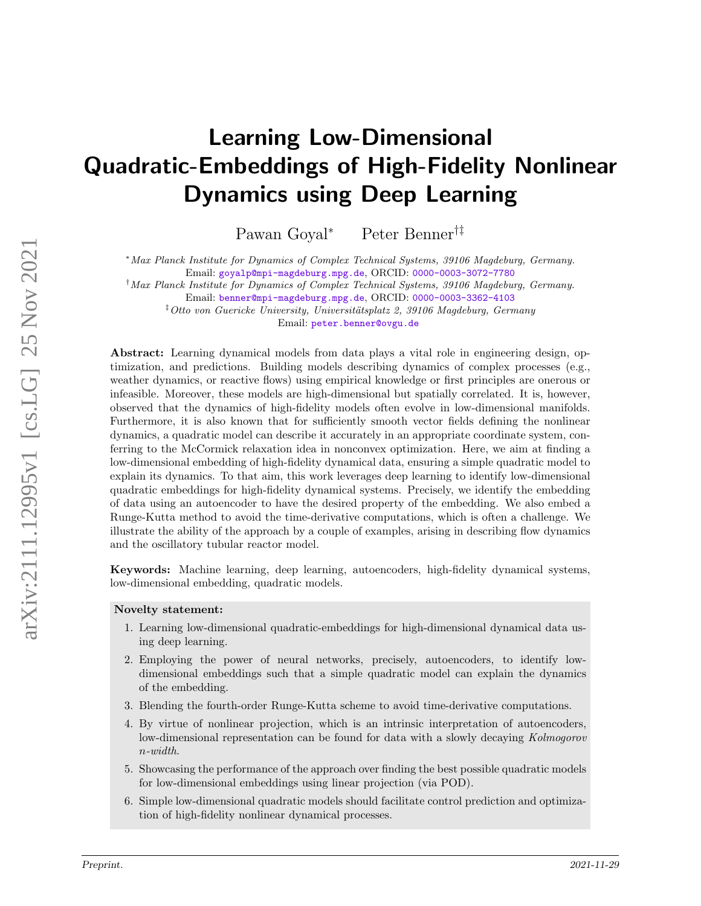# Learning Low-Dimensional Quadratic-Embeddings of High-Fidelity Nonlinear Dynamics using Deep Learning

Pawan Goyal<sup>∗</sup> Peter Benner†‡

<sup>∗</sup>Max Planck Institute for Dynamics of Complex Technical Systems, 39106 Magdeburg, Germany.

Email: [goyalp@mpi-magdeburg.mpg.de](mailto:goyalp@mpi-magdeburg.mpg.de), ORCID: [0000-0003-3072-7780](https://orcid.org/0000-0003-3072-7780)

†Max Planck Institute for Dynamics of Complex Technical Systems, 39106 Magdeburg, Germany.

Email: [benner@mpi-magdeburg.mpg.de](mailto:benner@mpi-magdeburg.mpg.de), ORCID: [0000-0003-3362-4103](https://orcid.org/0000-0003-3362-4103)

<sup>‡</sup>Otto von Guericke University, Universitätsplatz 2, 39106 Magdeburg, Germany Email: [peter.benner@ovgu.de](mailto:peter.benner@ovgu.de)

Abstract: Learning dynamical models from data plays a vital role in engineering design, optimization, and predictions. Building models describing dynamics of complex processes (e.g., weather dynamics, or reactive flows) using empirical knowledge or first principles are onerous or infeasible. Moreover, these models are high-dimensional but spatially correlated. It is, however, observed that the dynamics of high-fidelity models often evolve in low-dimensional manifolds. Furthermore, it is also known that for sufficiently smooth vector fields defining the nonlinear dynamics, a quadratic model can describe it accurately in an appropriate coordinate system, conferring to the McCormick relaxation idea in nonconvex optimization. Here, we aim at finding a low-dimensional embedding of high-fidelity dynamical data, ensuring a simple quadratic model to explain its dynamics. To that aim, this work leverages deep learning to identify low-dimensional quadratic embeddings for high-fidelity dynamical systems. Precisely, we identify the embedding of data using an autoencoder to have the desired property of the embedding. We also embed a Runge-Kutta method to avoid the time-derivative computations, which is often a challenge. We illustrate the ability of the approach by a couple of examples, arising in describing flow dynamics and the oscillatory tubular reactor model.

Keywords: Machine learning, deep learning, autoencoders, high-fidelity dynamical systems, low-dimensional embedding, quadratic models.

#### Novelty statement:

- 1. Learning low-dimensional quadratic-embeddings for high-dimensional dynamical data using deep learning.
- 2. Employing the power of neural networks, precisely, autoencoders, to identify lowdimensional embeddings such that a simple quadratic model can explain the dynamics of the embedding.
- 3. Blending the fourth-order Runge-Kutta scheme to avoid time-derivative computations.
- 4. By virtue of nonlinear projection, which is an intrinsic interpretation of autoencoders, low-dimensional representation can be found for data with a slowly decaying Kolmogorov n-width.
- 5. Showcasing the performance of the approach over finding the best possible quadratic models for low-dimensional embeddings using linear projection (via POD).
- 6. Simple low-dimensional quadratic models should facilitate control prediction and optimization of high-fidelity nonlinear dynamical processes.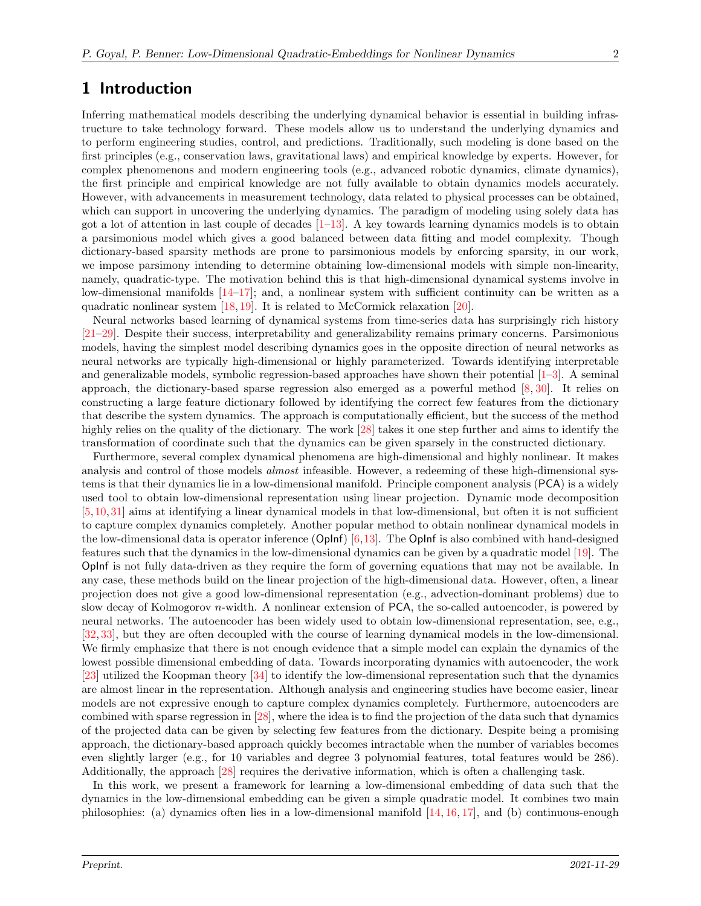### 1 Introduction

Inferring mathematical models describing the underlying dynamical behavior is essential in building infrastructure to take technology forward. These models allow us to understand the underlying dynamics and to perform engineering studies, control, and predictions. Traditionally, such modeling is done based on the first principles (e.g., conservation laws, gravitational laws) and empirical knowledge by experts. However, for complex phenomenons and modern engineering tools (e.g., advanced robotic dynamics, climate dynamics), the first principle and empirical knowledge are not fully available to obtain dynamics models accurately. However, with advancements in measurement technology, data related to physical processes can be obtained, which can support in uncovering the underlying dynamics. The paradigm of modeling using solely data has got a lot of attention in last couple of decades  $[1-13]$  $[1-13]$ . A key towards learning dynamics models is to obtain a parsimonious model which gives a good balanced between data fitting and model complexity. Though dictionary-based sparsity methods are prone to parsimonious models by enforcing sparsity, in our work, we impose parsimony intending to determine obtaining low-dimensional models with simple non-linearity, namely, quadratic-type. The motivation behind this is that high-dimensional dynamical systems involve in low-dimensional manifolds  $[14-17]$  $[14-17]$ ; and, a nonlinear system with sufficient continuity can be written as a quadratic nonlinear system [\[18,](#page-9-3) [19\]](#page-9-4). It is related to McCormick relaxation [\[20\]](#page-10-0).

Neural networks based learning of dynamical systems from time-series data has surprisingly rich history [\[21–](#page-10-1)[29\]](#page-10-2). Despite their success, interpretability and generalizability remains primary concerns. Parsimonious models, having the simplest model describing dynamics goes in the opposite direction of neural networks as neural networks are typically high-dimensional or highly parameterized. Towards identifying interpretable and generalizable models, symbolic regression-based approaches have shown their potential [\[1–](#page-8-0)[3\]](#page-9-5). A seminal approach, the dictionary-based sparse regression also emerged as a powerful method [\[8,](#page-9-6) [30\]](#page-10-3). It relies on constructing a large feature dictionary followed by identifying the correct few features from the dictionary that describe the system dynamics. The approach is computationally efficient, but the success of the method highly relies on the quality of the dictionary. The work [\[28\]](#page-10-4) takes it one step further and aims to identify the transformation of coordinate such that the dynamics can be given sparsely in the constructed dictionary.

Furthermore, several complex dynamical phenomena are high-dimensional and highly nonlinear. It makes analysis and control of those models *almost* infeasible. However, a redeeming of these high-dimensional systems is that their dynamics lie in a low-dimensional manifold. Principle component analysis (PCA) is a widely used tool to obtain low-dimensional representation using linear projection. Dynamic mode decomposition [\[5,](#page-9-7)[10,](#page-9-8)[31\]](#page-10-5) aims at identifying a linear dynamical models in that low-dimensional, but often it is not sufficient to capture complex dynamics completely. Another popular method to obtain nonlinear dynamical models in the low-dimensional data is operator inference  $\left( \text{Oplnf} \right)$   $\left[ 6,13 \right]$ . The OpInf is also combined with hand-designed features such that the dynamics in the low-dimensional dynamics can be given by a quadratic model [\[19\]](#page-9-4). The OpInf is not fully data-driven as they require the form of governing equations that may not be available. In any case, these methods build on the linear projection of the high-dimensional data. However, often, a linear projection does not give a good low-dimensional representation (e.g., advection-dominant problems) due to slow decay of Kolmogorov  $n$ -width. A nonlinear extension of PCA, the so-called autoencoder, is powered by neural networks. The autoencoder has been widely used to obtain low-dimensional representation, see, e.g., [\[32,](#page-10-6) [33\]](#page-10-7), but they are often decoupled with the course of learning dynamical models in the low-dimensional. We firmly emphasize that there is not enough evidence that a simple model can explain the dynamics of the lowest possible dimensional embedding of data. Towards incorporating dynamics with autoencoder, the work [\[23\]](#page-10-8) utilized the Koopman theory [\[34\]](#page-10-9) to identify the low-dimensional representation such that the dynamics are almost linear in the representation. Although analysis and engineering studies have become easier, linear models are not expressive enough to capture complex dynamics completely. Furthermore, autoencoders are combined with sparse regression in [\[28\]](#page-10-4), where the idea is to find the projection of the data such that dynamics of the projected data can be given by selecting few features from the dictionary. Despite being a promising approach, the dictionary-based approach quickly becomes intractable when the number of variables becomes even slightly larger (e.g., for 10 variables and degree 3 polynomial features, total features would be 286). Additionally, the approach [\[28\]](#page-10-4) requires the derivative information, which is often a challenging task.

In this work, we present a framework for learning a low-dimensional embedding of data such that the dynamics in the low-dimensional embedding can be given a simple quadratic model. It combines two main philosophies: (a) dynamics often lies in a low-dimensional manifold [\[14,](#page-9-1) [16,](#page-9-10) [17\]](#page-9-2), and (b) continuous-enough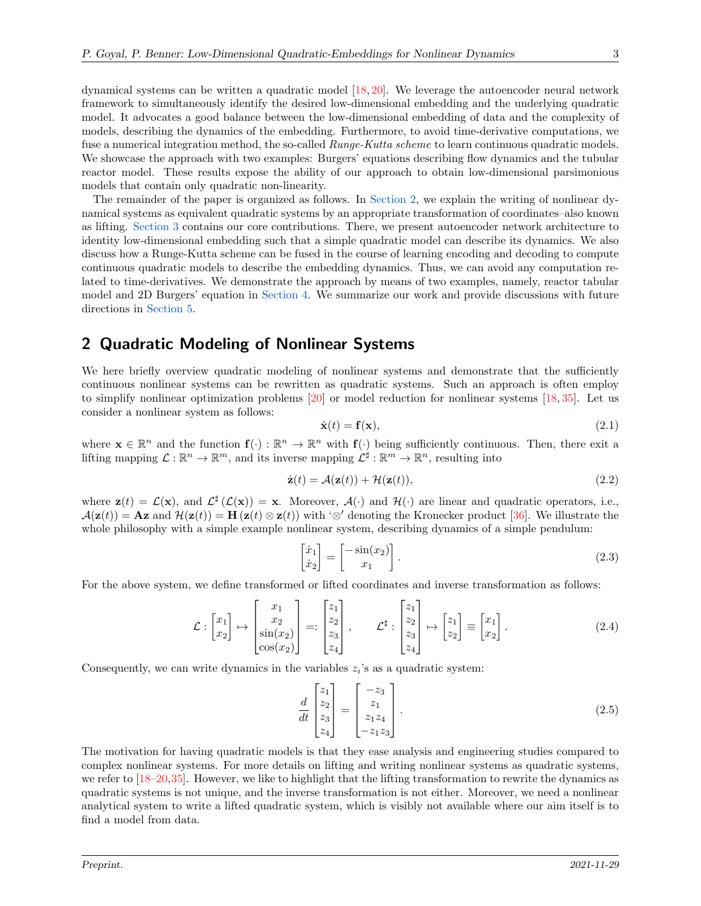dynamical systems can be written a quadratic model [\[18,](#page-9-3) [20\]](#page-10-0). We leverage the autoencoder neural network framework to simultaneously identify the desired low-dimensional embedding and the underlying quadratic model. It advocates a good balance between the low-dimensional embedding of data and the complexity of models, describing the dynamics of the embedding. Furthermore, to avoid time-derivative computations, we fuse a numerical integration method, the so-called *Runge-Kutta scheme* to learn continuous quadratic models. We showcase the approach with two examples: Burgers' equations describing flow dynamics and the tubular reactor model. These results expose the ability of our approach to obtain low-dimensional parsimonious models that contain only quadratic non-linearity.

The remainder of the paper is organized as follows. In [Section 2,](#page-2-0) we explain the writing of nonlinear dynamical systems as equivalent quadratic systems by an appropriate transformation of coordinates–also known as lifting. [Section 3](#page-3-0) contains our core contributions. There, we present autoencoder network architecture to identity low-dimensional embedding such that a simple quadratic model can describe its dynamics. We also discuss how a Runge-Kutta scheme can be fused in the course of learning encoding and decoding to compute continuous quadratic models to describe the embedding dynamics. Thus, we can avoid any computation related to time-derivatives. We demonstrate the approach by means of two examples, namely, reactor tabular model and 2D Burgers' equation in [Section 4.](#page-4-0) We summarize our work and provide discussions with future directions in [Section 5.](#page-7-0)

## <span id="page-2-0"></span>2 Quadratic Modeling of Nonlinear Systems

We here briefly overview quadratic modeling of nonlinear systems and demonstrate that the sufficiently continuous nonlinear systems can be rewritten as quadratic systems. Such an approach is often employ to simplify nonlinear optimization problems [\[20\]](#page-10-0) or model reduction for nonlinear systems [\[18,](#page-9-3) [35\]](#page-10-10). Let us consider a nonlinear system as follows:

<span id="page-2-1"></span>
$$
\dot{\mathbf{x}}(t) = \mathbf{f}(\mathbf{x}),\tag{2.1}
$$

where  $\mathbf{x} \in \mathbb{R}^n$  and the function  $\mathbf{f}(\cdot) : \mathbb{R}^n \to \mathbb{R}^n$  with  $\mathbf{f}(\cdot)$  being sufficiently continuous. Then, there exit a lifting mapping  $\mathcal{L}: \mathbb{R}^n \to \mathbb{R}^m$ , and its inverse mapping  $\mathcal{L}^{\sharp}: \mathbb{R}^m \to \mathbb{R}^n$ , resulting into

$$
\dot{\mathbf{z}}(t) = \mathcal{A}(\mathbf{z}(t)) + \mathcal{H}(\mathbf{z}(t)),
$$
\n(2.2)

where  $\mathbf{z}(t) = \mathcal{L}(\mathbf{x})$ , and  $\mathcal{L}^{\sharp}(\mathcal{L}(\mathbf{x})) = \mathbf{x}$ . Moreover,  $\mathcal{A}(\cdot)$  and  $\mathcal{H}(\cdot)$  are linear and quadratic operators, i.e.,  $\mathcal{A}(\mathbf{z}(t)) = \mathbf{A}\mathbf{z}$  and  $\mathcal{H}(\mathbf{z}(t)) = \mathbf{H}(\mathbf{z}(t) \otimes \mathbf{z}(t))$  with '⊗' denoting the Kronecker product [\[36\]](#page-10-11). We illustrate the whole philosophy with a simple example nonlinear system, describing dynamics of a simple pendulum:

$$
\begin{bmatrix} \dot{x}_1 \\ \dot{x}_2 \end{bmatrix} = \begin{bmatrix} -\sin(x_2) \\ x_1 \end{bmatrix} . \tag{2.3}
$$

For the above system, we define transformed or lifted coordinates and inverse transformation as follows:

$$
\mathcal{L}: \begin{bmatrix} x_1 \\ x_2 \end{bmatrix} \mapsto \begin{bmatrix} x_1 \\ x_2 \\ \sin(x_2) \\ \cos(x_2) \end{bmatrix} =: \begin{bmatrix} z_1 \\ z_2 \\ z_3 \\ z_4 \end{bmatrix}, \qquad \mathcal{L}^{\sharp}: \begin{bmatrix} z_1 \\ z_2 \\ z_3 \\ z_4 \end{bmatrix} \mapsto \begin{bmatrix} z_1 \\ z_2 \end{bmatrix} \equiv \begin{bmatrix} x_1 \\ x_2 \end{bmatrix}. \tag{2.4}
$$

Consequently, we can write dynamics in the variables  $z_i$ 's as a quadratic system:

$$
\frac{d}{dt} \begin{bmatrix} z_1 \\ z_2 \\ z_3 \\ z_4 \end{bmatrix} = \begin{bmatrix} -z_3 \\ z_1 \\ z_1 z_4 \\ -z_1 z_3 \end{bmatrix} . \tag{2.5}
$$

The motivation for having quadratic models is that they ease analysis and engineering studies compared to complex nonlinear systems. For more details on lifting and writing nonlinear systems as quadratic systems, we refer to  $[18–20,35]$  $[18–20,35]$  $[18–20,35]$ . However, we like to highlight that the lifting transformation to rewrite the dynamics as quadratic systems is not unique, and the inverse transformation is not either. Moreover, we need a nonlinear analytical system to write a lifted quadratic system, which is visibly not available where our aim itself is to find a model from data.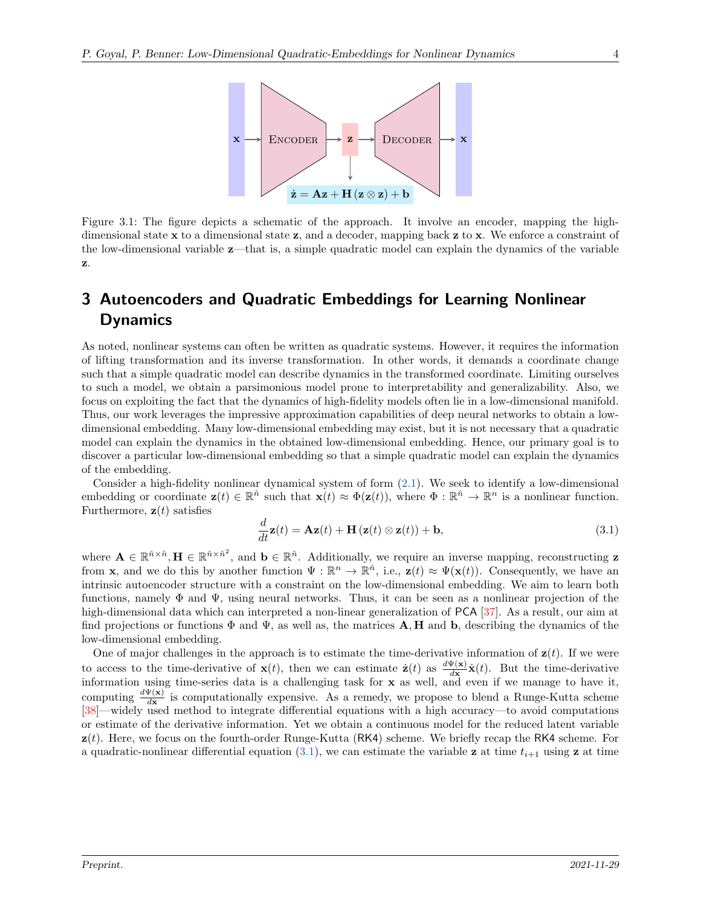

Figure 3.1: The figure depicts a schematic of the approach. It involve an encoder, mapping the highdimensional state  $x$  to a dimensional state  $z$ , and a decoder, mapping back  $z$  to  $x$ . We enforce a constraint of the low-dimensional variable z—that is, a simple quadratic model can explain the dynamics of the variable z.

## <span id="page-3-0"></span>3 Autoencoders and Quadratic Embeddings for Learning Nonlinear **Dynamics**

As noted, nonlinear systems can often be written as quadratic systems. However, it requires the information of lifting transformation and its inverse transformation. In other words, it demands a coordinate change such that a simple quadratic model can describe dynamics in the transformed coordinate. Limiting ourselves to such a model, we obtain a parsimonious model prone to interpretability and generalizability. Also, we focus on exploiting the fact that the dynamics of high-fidelity models often lie in a low-dimensional manifold. Thus, our work leverages the impressive approximation capabilities of deep neural networks to obtain a lowdimensional embedding. Many low-dimensional embedding may exist, but it is not necessary that a quadratic model can explain the dynamics in the obtained low-dimensional embedding. Hence, our primary goal is to discover a particular low-dimensional embedding so that a simple quadratic model can explain the dynamics of the embedding.

Consider a high-fidelity nonlinear dynamical system of form  $(2.1)$ . We seek to identify a low-dimensional embedding or coordinate  $\mathbf{z}(t) \in \mathbb{R}^{\hat{n}}$  such that  $\mathbf{x}(t) \approx \Phi(\mathbf{z}(t))$ , where  $\Phi : \mathbb{R}^{\hat{n}} \to \mathbb{R}^n$  is a nonlinear function. Furthermore,  $z(t)$  satisfies

<span id="page-3-1"></span>
$$
\frac{d}{dt}\mathbf{z}(t) = \mathbf{A}\mathbf{z}(t) + \mathbf{H}\left(\mathbf{z}(t) \otimes \mathbf{z}(t)\right) + \mathbf{b},\tag{3.1}
$$

where  $\mathbf{A} \in \mathbb{R}^{\hat{n} \times \hat{n}^2}$ , and  $\mathbf{b} \in \mathbb{R}^{\hat{n}}$ . Additionally, we require an inverse mapping, reconstructing z from **x**, and we do this by another function  $\Psi : \mathbb{R}^n \to \mathbb{R}^n$ , i.e.,  $\mathbf{z}(t) \approx \Psi(\mathbf{x}(t))$ . Consequently, we have an intrinsic autoencoder structure with a constraint on the low-dimensional embedding. We aim to learn both functions, namely  $\Phi$  and  $\Psi$ , using neural networks. Thus, it can be seen as a nonlinear projection of the high-dimensional data which can interpreted a non-linear generalization of PCA [\[37\]](#page-10-12). As a result, our aim at find projections or functions  $\Phi$  and  $\Psi$ , as well as, the matrices **A, H** and **b**, describing the dynamics of the low-dimensional embedding.

One of major challenges in the approach is to estimate the time-derivative information of  $z(t)$ . If we were to access to the time-derivative of  $\mathbf{x}(t)$ , then we can estimate  $\dot{\mathbf{z}}(t)$  as  $\frac{d\Psi(\mathbf{x})}{d\mathbf{x}}\dot{\mathbf{x}}(t)$ . But the time-derivative information using time-series data is a challenging task for  $x$  as well, and even if we manage to have it, computing  $\frac{d\Psi(\mathbf{x})}{d\mathbf{x}}$  is computationally expensive. As a remedy, we propose to blend a Runge-Kutta scheme [\[38\]](#page-10-13)—widely used method to integrate differential equations with a high accuracy—to avoid computations or estimate of the derivative information. Yet we obtain a continuous model for the reduced latent variable  $z(t)$ . Here, we focus on the fourth-order Runge-Kutta (RK4) scheme. We briefly recap the RK4 scheme. For a quadratic-nonlinear differential equation [\(3.1\)](#page-3-1), we can estimate the variable z at time  $t_{i+1}$  using z at time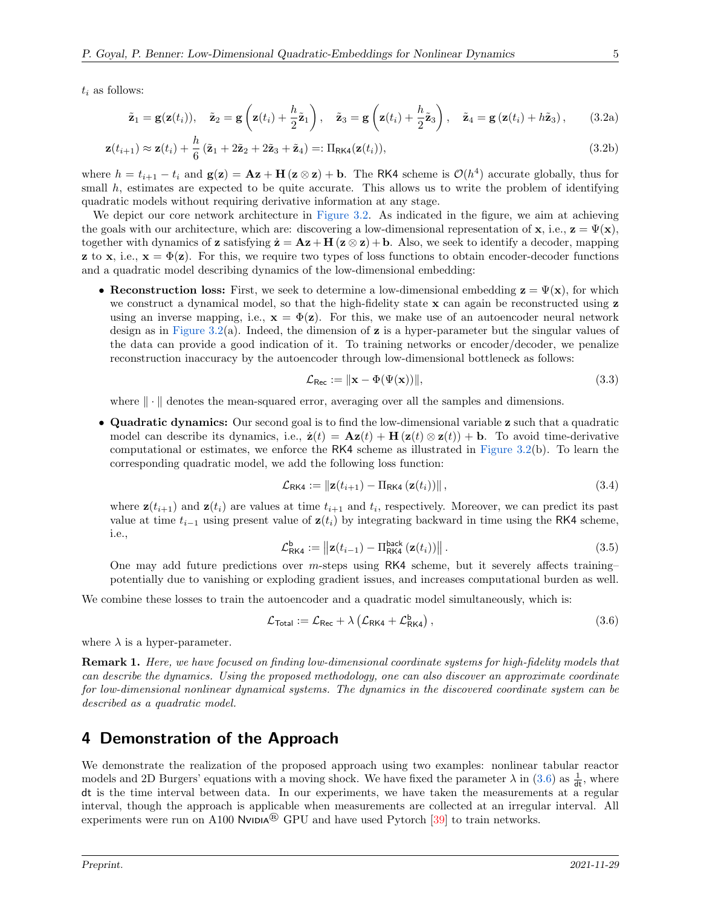$t_i$  as follows:

$$
\tilde{\mathbf{z}}_1 = \mathbf{g}(\mathbf{z}(t_i)), \quad \tilde{\mathbf{z}}_2 = \mathbf{g}\left(\mathbf{z}(t_i) + \frac{h}{2}\tilde{\mathbf{z}}_1\right), \quad \tilde{\mathbf{z}}_3 = \mathbf{g}\left(\mathbf{z}(t_i) + \frac{h}{2}\tilde{\mathbf{z}}_3\right), \quad \tilde{\mathbf{z}}_4 = \mathbf{g}\left(\mathbf{z}(t_i) + h\tilde{\mathbf{z}}_3\right), \quad (3.2a)
$$

$$
\mathbf{z}(t_{i+1}) \approx \mathbf{z}(t_i) + \frac{h}{6} (\tilde{\mathbf{z}}_1 + 2\tilde{\mathbf{z}}_2 + 2\tilde{\mathbf{z}}_3 + \tilde{\mathbf{z}}_4) =: \Pi_{\text{RK4}}(\mathbf{z}(t_i)),
$$
\n(3.2b)

where  $h = t_{i+1} - t_i$  and  $\mathbf{g}(\mathbf{z}) = \mathbf{A}\mathbf{z} + \mathbf{H}(\mathbf{z} \otimes \mathbf{z}) + \mathbf{b}$ . The RK4 scheme is  $\mathcal{O}(h^4)$  accurate globally, thus for small h, estimates are expected to be quite accurate. This allows us to write the problem of identifying quadratic models without requiring derivative information at any stage.

We depict our core network architecture in [Figure 3.2.](#page-5-0) As indicated in the figure, we aim at achieving the goals with our architecture, which are: discovering a low-dimensional representation of **x**, i.e.,  $\mathbf{z} = \Psi(\mathbf{x})$ , together with dynamics of **z** satisfying  $\dot{\mathbf{z}} = \mathbf{A}\mathbf{z} + \mathbf{H}(\mathbf{z} \otimes \mathbf{z}) + \mathbf{b}$ . Also, we seek to identify a decoder, mapping **z** to **x**, i.e.,  $\mathbf{x} = \Phi(\mathbf{z})$ . For this, we require two types of loss functions to obtain encoder-decoder functions and a quadratic model describing dynamics of the low-dimensional embedding:

• Reconstruction loss: First, we seek to determine a low-dimensional embedding  $z = \Psi(x)$ , for which we construct a dynamical model, so that the high-fidelity state  $\bf{x}$  can again be reconstructed using  $\bf{z}$ using an inverse mapping, i.e.,  $\mathbf{x} = \Phi(\mathbf{z})$ . For this, we make use of an autoencoder neural network design as in [Figure 3.2\(](#page-5-0)a). Indeed, the dimension of **z** is a hyper-parameter but the singular values of the data can provide a good indication of it. To training networks or encoder/decoder, we penalize reconstruction inaccuracy by the autoencoder through low-dimensional bottleneck as follows:

$$
\mathcal{L}_{\text{Rec}} := \|\mathbf{x} - \Phi(\Psi(\mathbf{x}))\|,\tag{3.3}
$$

where  $\|\cdot\|$  denotes the mean-squared error, averaging over all the samples and dimensions.

• Quadratic dynamics: Our second goal is to find the low-dimensional variable z such that a quadratic model can describe its dynamics, i.e.,  $\dot{\mathbf{z}}(t) = \mathbf{A}\mathbf{z}(t) + \mathbf{H}(\mathbf{z}(t) \otimes \mathbf{z}(t)) + \mathbf{b}$ . To avoid time-derivative computational or estimates, we enforce the RK4 scheme as illustrated in [Figure 3.2\(](#page-5-0)b). To learn the corresponding quadratic model, we add the following loss function:

$$
\mathcal{L}_{\text{RK4}} := \|\mathbf{z}(t_{i+1}) - \Pi_{\text{RK4}}\left(\mathbf{z}(t_i)\right)\|,\tag{3.4}
$$

where  $\mathbf{z}(t_{i+1})$  and  $\mathbf{z}(t_i)$  are values at time  $t_{i+1}$  and  $t_i$ , respectively. Moreover, we can predict its past value at time  $t_{i-1}$  using present value of  $z(t_i)$  by integrating backward in time using the RK4 scheme, i.e.,

<span id="page-4-1"></span>
$$
\mathcal{L}_{\text{RK4}}^{\text{b}} := \left\| \mathbf{z}(t_{i-1}) - \Pi_{\text{RK4}}^{\text{back}} \left( \mathbf{z}(t_i) \right) \right\|.
$$
\n(3.5)

One may add future predictions over  $m$ -steps using RK4 scheme, but it severely affects training– potentially due to vanishing or exploding gradient issues, and increases computational burden as well.

We combine these losses to train the autoencoder and a quadratic model simultaneously, which is:

$$
\mathcal{L}_{\text{Total}} := \mathcal{L}_{\text{Rec}} + \lambda \left( \mathcal{L}_{\text{RK4}} + \mathcal{L}_{\text{RK4}}^{b} \right),\tag{3.6}
$$

where  $\lambda$  is a hyper-parameter.

Remark 1. Here, we have focused on finding low-dimensional coordinate systems for high-fidelity models that can describe the dynamics. Using the proposed methodology, one can also discover an approximate coordinate for low-dimensional nonlinear dynamical systems. The dynamics in the discovered coordinate system can be described as a quadratic model.

## <span id="page-4-0"></span>4 Demonstration of the Approach

We demonstrate the realization of the proposed approach using two examples: nonlinear tabular reactor models and 2D Burgers' equations with a moving shock. We have fixed the parameter  $\lambda$  in [\(3.6\)](#page-4-1) as  $\frac{1}{dt}$ , where dt is the time interval between data. In our experiments, we have taken the measurements at a regular interval, though the approach is applicable when measurements are collected at an irregular interval. All experiments were run on A100 Nvida<sup>®</sup> GPU and have used Pytorch [\[39\]](#page-10-14) to train networks.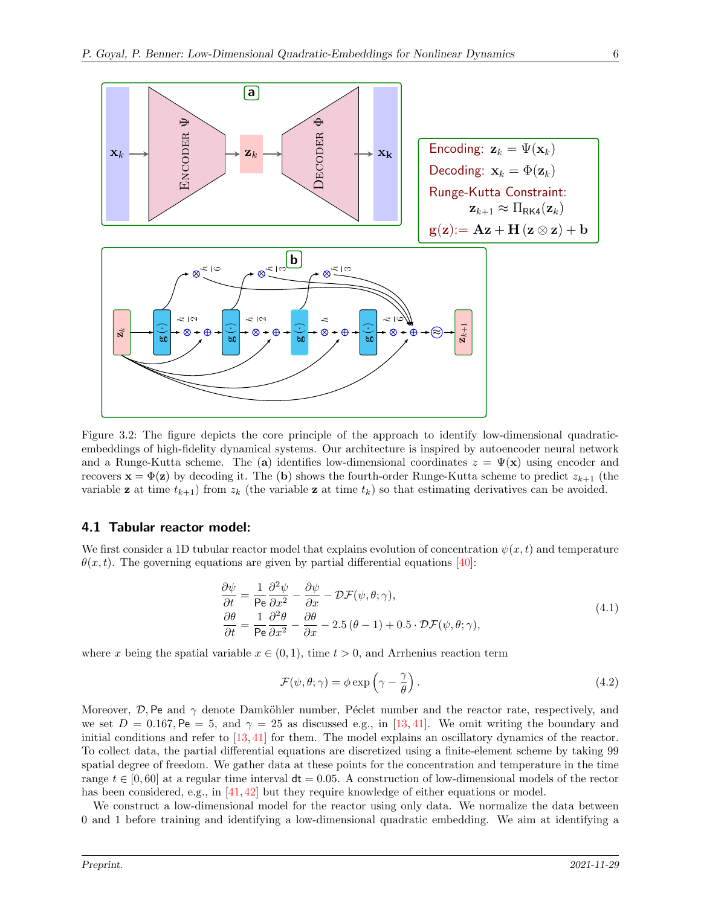<span id="page-5-0"></span>

Figure 3.2: The figure depicts the core principle of the approach to identify low-dimensional quadraticembeddings of high-fidelity dynamical systems. Our architecture is inspired by autoencoder neural network and a Runge-Kutta scheme. The (a) identifies low-dimensional coordinates  $z = \Psi(\mathbf{x})$  using encoder and recovers  $\mathbf{x} = \Phi(\mathbf{z})$  by decoding it. The (b) shows the fourth-order Runge-Kutta scheme to predict  $z_{k+1}$  (the variable **z** at time  $t_{k+1}$  from  $z_k$  (the variable **z** at time  $t_k$ ) so that estimating derivatives can be avoided.

#### 4.1 Tabular reactor model:

We first consider a 1D tubular reactor model that explains evolution of concentration  $\psi(x,t)$  and temperature  $\theta(x, t)$ . The governing equations are given by partial differential equations [\[40\]](#page-11-0):

$$
\frac{\partial \psi}{\partial t} = \frac{1}{\text{Pe}} \frac{\partial^2 \psi}{\partial x^2} - \frac{\partial \psi}{\partial x} - \mathcal{D}\mathcal{F}(\psi, \theta; \gamma), \n\frac{\partial \theta}{\partial t} = \frac{1}{\text{Pe}} \frac{\partial^2 \theta}{\partial x^2} - \frac{\partial \theta}{\partial x} - 2.5 (\theta - 1) + 0.5 \cdot \mathcal{D}\mathcal{F}(\psi, \theta; \gamma),
$$
\n(4.1)

where x being the spatial variable  $x \in (0, 1)$ , time  $t > 0$ , and Arrhenius reaction term

$$
\mathcal{F}(\psi, \theta; \gamma) = \phi \exp\left(\gamma - \frac{\gamma}{\theta}\right). \tag{4.2}
$$

Moreover,  $\mathcal{D},$  Pe and  $\gamma$  denote Damköhler number, Péclet number and the reactor rate, respectively, and we set  $D = 0.167$ , Pe = 5, and  $\gamma = 25$  as discussed e.g., in [\[13,](#page-9-0) [41\]](#page-11-1). We omit writing the boundary and initial conditions and refer to [\[13,](#page-9-0) [41\]](#page-11-1) for them. The model explains an oscillatory dynamics of the reactor. To collect data, the partial differential equations are discretized using a finite-element scheme by taking 99 spatial degree of freedom. We gather data at these points for the concentration and temperature in the time range  $t \in [0, 60]$  at a regular time interval  $dt = 0.05$ . A construction of low-dimensional models of the rector has been considered, e.g., in [\[41,](#page-11-1) [42\]](#page-11-2) but they require knowledge of either equations or model.

We construct a low-dimensional model for the reactor using only data. We normalize the data between 0 and 1 before training and identifying a low-dimensional quadratic embedding. We aim at identifying a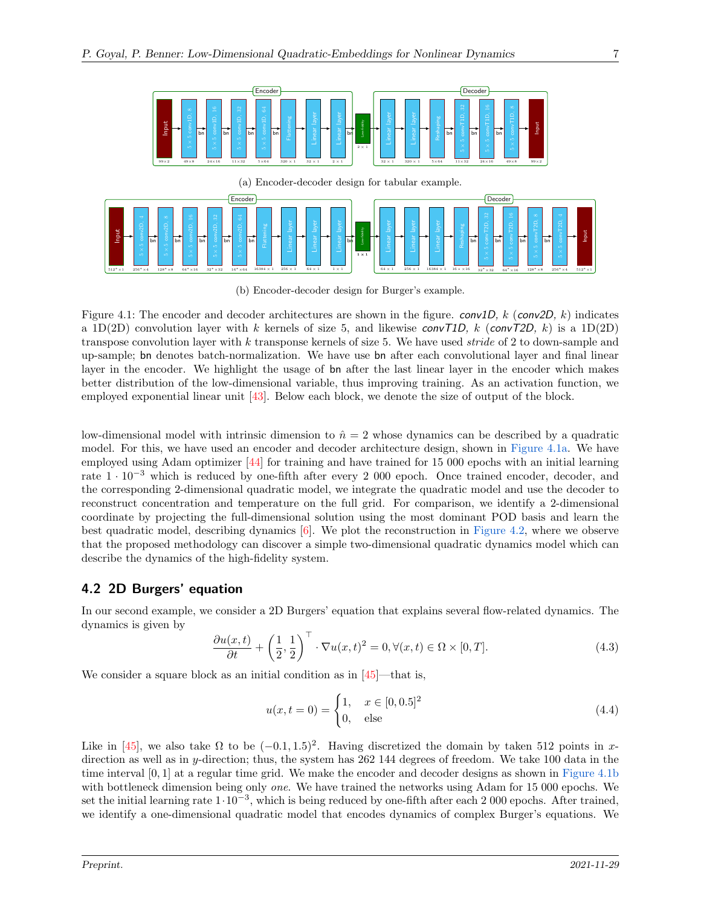<span id="page-6-0"></span>

(b) Encoder-decoder design for Burger's example.

Figure 4.1: The encoder and decoder architectures are shown in the figure.  $conv1D$ , k (conv2D, k) indicates a 1D(2D) convolution layer with k kernels of size 5, and likewise convT1D, k (convT2D, k) is a 1D(2D) transpose convolution layer with k transponse kernels of size 5. We have used stride of 2 to down-sample and up-sample; bn denotes batch-normalization. We have use bn after each convolutional layer and final linear layer in the encoder. We highlight the usage of bn after the last linear layer in the encoder which makes better distribution of the low-dimensional variable, thus improving training. As an activation function, we employed exponential linear unit [\[43\]](#page-11-3). Below each block, we denote the size of output of the block.

low-dimensional model with intrinsic dimension to  $\hat{n} = 2$  whose dynamics can be described by a quadratic model. For this, we have used an encoder and decoder architecture design, shown in [Figure 4.1a.](#page-6-0) We have employed using Adam optimizer [\[44\]](#page-11-4) for training and have trained for 15 000 epochs with an initial learning rate 1 · <sup>10</sup><sup>−</sup><sup>3</sup> which is reduced by one-fifth after every 2 000 epoch. Once trained encoder, decoder, and the corresponding 2-dimensional quadratic model, we integrate the quadratic model and use the decoder to reconstruct concentration and temperature on the full grid. For comparison, we identify a 2-dimensional coordinate by projecting the full-dimensional solution using the most dominant POD basis and learn the best quadratic model, describing dynamics  $[6]$ . We plot the reconstruction in [Figure 4.2,](#page-7-1) where we observe that the proposed methodology can discover a simple two-dimensional quadratic dynamics model which can describe the dynamics of the high-fidelity system.

#### 4.2 2D Burgers' equation

In our second example, we consider a 2D Burgers' equation that explains several flow-related dynamics. The dynamics is given by

$$
\frac{\partial u(x,t)}{\partial t} + \left(\frac{1}{2}, \frac{1}{2}\right)^{\top} \cdot \nabla u(x,t)^2 = 0, \forall (x,t) \in \Omega \times [0,T].
$$
\n(4.3)

We consider a square block as an initial condition as in  $\left[45\right]$ —that is,

$$
u(x,t=0) = \begin{cases} 1, & x \in [0,0.5]^2 \\ 0, & \text{else} \end{cases}
$$
(4.4)

Like in [\[45\]](#page-11-5), we also take  $\Omega$  to be  $(-0.1, 1.5)^2$ . Having discretized the domain by taken 512 points in xdirection as well as in y-direction; thus, the system has 262 144 degrees of freedom. We take 100 data in the time interval [0, 1] at a regular time grid. We make the encoder and decoder designs as shown in [Figure 4.1b](#page-6-0) with bottleneck dimension being only one. We have trained the networks using Adam for 15 000 epochs. We set the initial learning rate  $1 \cdot 10^{-3}$ , which is being reduced by one-fifth after each 2 000 epochs. After trained, we identify a one-dimensional quadratic model that encodes dynamics of complex Burger's equations. We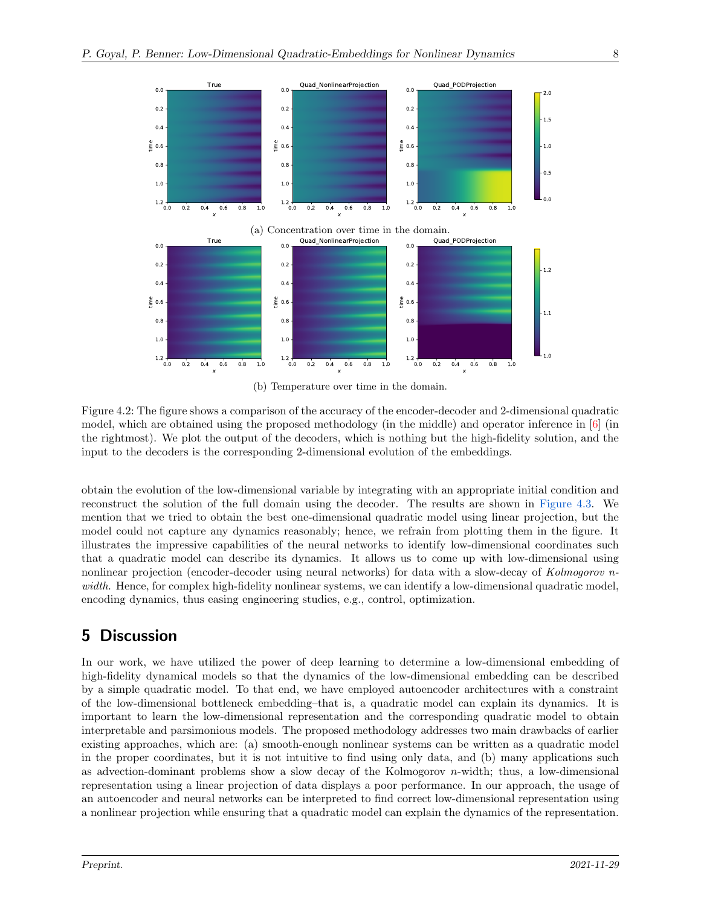<span id="page-7-1"></span>

(b) Temperature over time in the domain.

Figure 4.2: The figure shows a comparison of the accuracy of the encoder-decoder and 2-dimensional quadratic model, which are obtained using the proposed methodology (in the middle) and operator inference in  $[6]$  (in the rightmost). We plot the output of the decoders, which is nothing but the high-fidelity solution, and the input to the decoders is the corresponding 2-dimensional evolution of the embeddings.

obtain the evolution of the low-dimensional variable by integrating with an appropriate initial condition and reconstruct the solution of the full domain using the decoder. The results are shown in [Figure 4.3.](#page-8-1) We mention that we tried to obtain the best one-dimensional quadratic model using linear projection, but the model could not capture any dynamics reasonably; hence, we refrain from plotting them in the figure. It illustrates the impressive capabilities of the neural networks to identify low-dimensional coordinates such that a quadratic model can describe its dynamics. It allows us to come up with low-dimensional using nonlinear projection (encoder-decoder using neural networks) for data with a slow-decay of Kolmogorov nwidth. Hence, for complex high-fidelity nonlinear systems, we can identify a low-dimensional quadratic model, encoding dynamics, thus easing engineering studies, e.g., control, optimization.

## <span id="page-7-0"></span>5 Discussion

In our work, we have utilized the power of deep learning to determine a low-dimensional embedding of high-fidelity dynamical models so that the dynamics of the low-dimensional embedding can be described by a simple quadratic model. To that end, we have employed autoencoder architectures with a constraint of the low-dimensional bottleneck embedding–that is, a quadratic model can explain its dynamics. It is important to learn the low-dimensional representation and the corresponding quadratic model to obtain interpretable and parsimonious models. The proposed methodology addresses two main drawbacks of earlier existing approaches, which are: (a) smooth-enough nonlinear systems can be written as a quadratic model in the proper coordinates, but it is not intuitive to find using only data, and (b) many applications such as advection-dominant problems show a slow decay of the Kolmogorov  $n$ -width; thus, a low-dimensional representation using a linear projection of data displays a poor performance. In our approach, the usage of an autoencoder and neural networks can be interpreted to find correct low-dimensional representation using a nonlinear projection while ensuring that a quadratic model can explain the dynamics of the representation.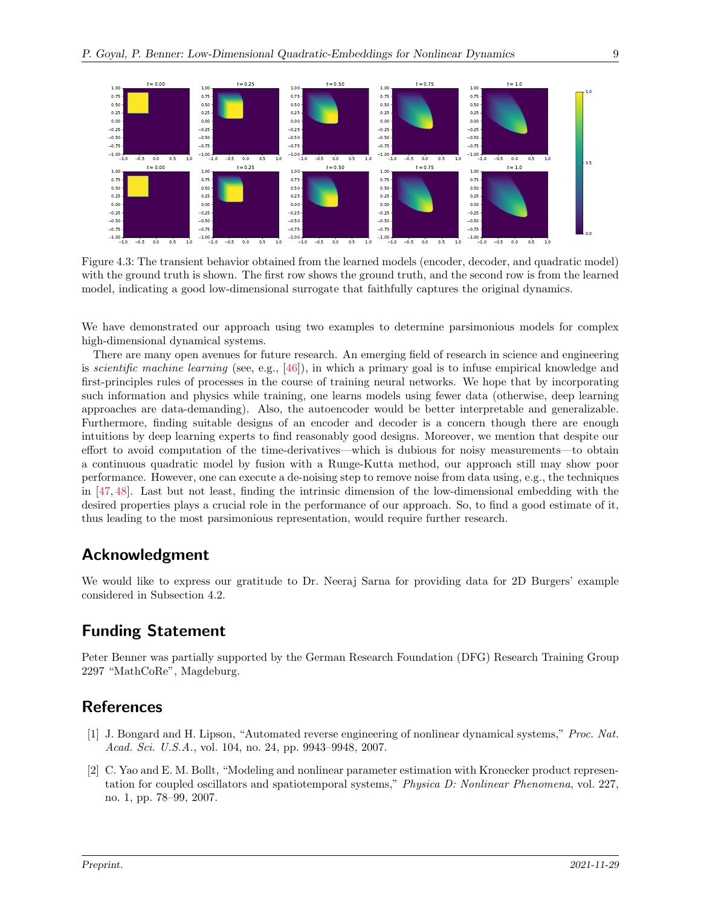<span id="page-8-1"></span>

Figure 4.3: The transient behavior obtained from the learned models (encoder, decoder, and quadratic model) with the ground truth is shown. The first row shows the ground truth, and the second row is from the learned model, indicating a good low-dimensional surrogate that faithfully captures the original dynamics.

We have demonstrated our approach using two examples to determine parsimonious models for complex high-dimensional dynamical systems.

There are many open avenues for future research. An emerging field of research in science and engineering is scientific machine learning (see, e.g., [\[46\]](#page-11-6)), in which a primary goal is to infuse empirical knowledge and first-principles rules of processes in the course of training neural networks. We hope that by incorporating such information and physics while training, one learns models using fewer data (otherwise, deep learning approaches are data-demanding). Also, the autoencoder would be better interpretable and generalizable. Furthermore, finding suitable designs of an encoder and decoder is a concern though there are enough intuitions by deep learning experts to find reasonably good designs. Moreover, we mention that despite our effort to avoid computation of the time-derivatives—which is dubious for noisy measurements—to obtain a continuous quadratic model by fusion with a Runge-Kutta method, our approach still may show poor performance. However, one can execute a de-noising step to remove noise from data using, e.g., the techniques in [\[47,](#page-11-7) [48\]](#page-11-8). Last but not least, finding the intrinsic dimension of the low-dimensional embedding with the desired properties plays a crucial role in the performance of our approach. So, to find a good estimate of it, thus leading to the most parsimonious representation, would require further research.

## Acknowledgment

We would like to express our gratitude to Dr. Neeraj Sarna for providing data for 2D Burgers' example considered in Subsection 4.2.

## Funding Statement

Peter Benner was partially supported by the German Research Foundation (DFG) Research Training Group 2297 "MathCoRe", Magdeburg.

## References

- <span id="page-8-0"></span>[1] J. Bongard and H. Lipson, "Automated reverse engineering of nonlinear dynamical systems," Proc. Nat. Acad. Sci. U.S.A., vol. 104, no. 24, pp. 9943–9948, 2007.
- [2] C. Yao and E. M. Bollt, "Modeling and nonlinear parameter estimation with Kronecker product representation for coupled oscillators and spatiotemporal systems," Physica D: Nonlinear Phenomena, vol. 227, no. 1, pp. 78–99, 2007.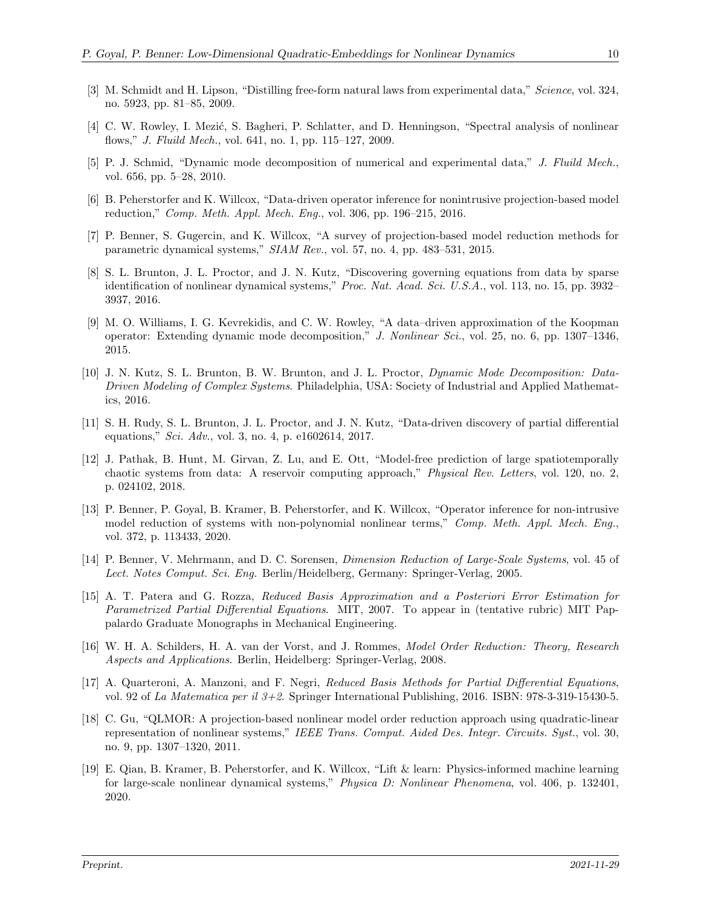- <span id="page-9-5"></span>[3] M. Schmidt and H. Lipson, "Distilling free-form natural laws from experimental data," Science, vol. 324, no. 5923, pp. 81–85, 2009.
- [4] C. W. Rowley, I. Mezić, S. Bagheri, P. Schlatter, and D. Henningson, "Spectral analysis of nonlinear flows," J. Fluild Mech., vol. 641, no. 1, pp. 115–127, 2009.
- <span id="page-9-7"></span>[5] P. J. Schmid, "Dynamic mode decomposition of numerical and experimental data," J. Fluild Mech., vol. 656, pp. 5–28, 2010.
- <span id="page-9-9"></span>[6] B. Peherstorfer and K. Willcox, "Data-driven operator inference for nonintrusive projection-based model reduction," Comp. Meth. Appl. Mech. Eng., vol. 306, pp. 196–215, 2016.
- [7] P. Benner, S. Gugercin, and K. Willcox, "A survey of projection-based model reduction methods for parametric dynamical systems," SIAM Rev., vol. 57, no. 4, pp. 483–531, 2015.
- <span id="page-9-6"></span>[8] S. L. Brunton, J. L. Proctor, and J. N. Kutz, "Discovering governing equations from data by sparse identification of nonlinear dynamical systems," *Proc. Nat. Acad. Sci. U.S.A.*, vol. 113, no. 15, pp. 3932– 3937, 2016.
- [9] M. O. Williams, I. G. Kevrekidis, and C. W. Rowley, "A data–driven approximation of the Koopman operator: Extending dynamic mode decomposition," J. Nonlinear Sci., vol. 25, no. 6, pp. 1307–1346, 2015.
- <span id="page-9-8"></span>[10] J. N. Kutz, S. L. Brunton, B. W. Brunton, and J. L. Proctor, Dynamic Mode Decomposition: Data-Driven Modeling of Complex Systems. Philadelphia, USA: Society of Industrial and Applied Mathematics, 2016.
- [11] S. H. Rudy, S. L. Brunton, J. L. Proctor, and J. N. Kutz, "Data-driven discovery of partial differential equations," Sci. Adv., vol. 3, no. 4, p. e1602614, 2017.
- [12] J. Pathak, B. Hunt, M. Girvan, Z. Lu, and E. Ott, "Model-free prediction of large spatiotemporally chaotic systems from data: A reservoir computing approach," Physical Rev. Letters, vol. 120, no. 2, p. 024102, 2018.
- <span id="page-9-0"></span>[13] P. Benner, P. Goyal, B. Kramer, B. Peherstorfer, and K. Willcox, "Operator inference for non-intrusive model reduction of systems with non-polynomial nonlinear terms," Comp. Meth. Appl. Mech. Eng., vol. 372, p. 113433, 2020.
- <span id="page-9-1"></span>[14] P. Benner, V. Mehrmann, and D. C. Sorensen, Dimension Reduction of Large-Scale Systems, vol. 45 of Lect. Notes Comput. Sci. Eng. Berlin/Heidelberg, Germany: Springer-Verlag, 2005.
- [15] A. T. Patera and G. Rozza, Reduced Basis Approximation and a Posteriori Error Estimation for Parametrized Partial Differential Equations. MIT, 2007. To appear in (tentative rubric) MIT Pappalardo Graduate Monographs in Mechanical Engineering.
- <span id="page-9-10"></span>[16] W. H. A. Schilders, H. A. van der Vorst, and J. Rommes, Model Order Reduction: Theory, Research Aspects and Applications. Berlin, Heidelberg: Springer-Verlag, 2008.
- <span id="page-9-2"></span>[17] A. Quarteroni, A. Manzoni, and F. Negri, Reduced Basis Methods for Partial Differential Equations, vol. 92 of La Matematica per il 3+2. Springer International Publishing, 2016. ISBN: 978-3-319-15430-5.
- <span id="page-9-3"></span>[18] C. Gu, "QLMOR: A projection-based nonlinear model order reduction approach using quadratic-linear representation of nonlinear systems," IEEE Trans. Comput. Aided Des. Integr. Circuits. Syst., vol. 30, no. 9, pp. 1307–1320, 2011.
- <span id="page-9-4"></span>[19] E. Qian, B. Kramer, B. Peherstorfer, and K. Willcox, "Lift & learn: Physics-informed machine learning for large-scale nonlinear dynamical systems," Physica D: Nonlinear Phenomena, vol. 406, p. 132401, 2020.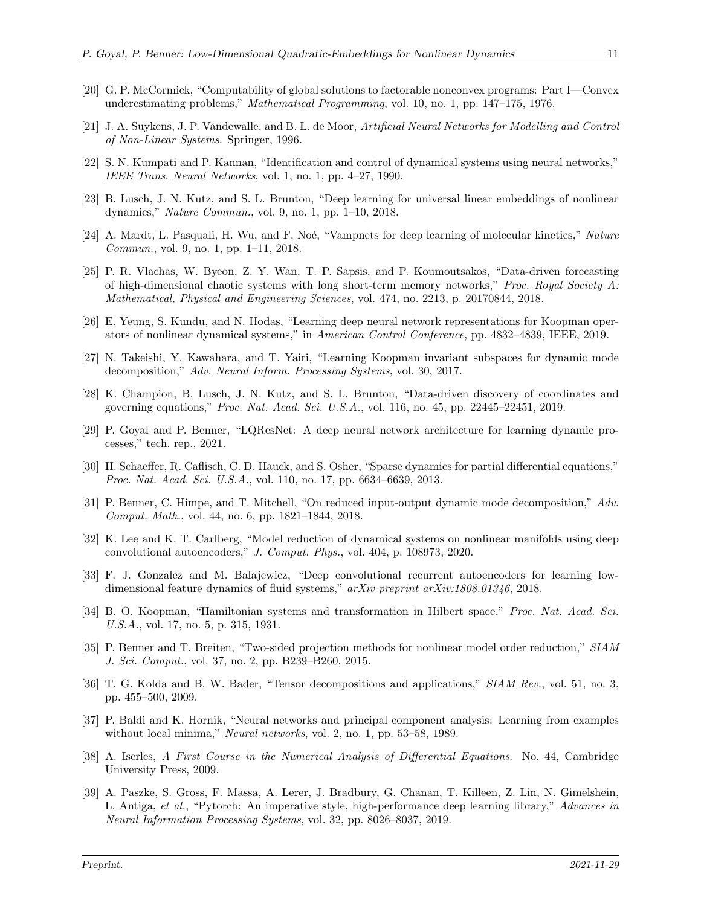- <span id="page-10-0"></span>[20] G. P. McCormick, "Computability of global solutions to factorable nonconvex programs: Part I—Convex underestimating problems," Mathematical Programming, vol. 10, no. 1, pp. 147–175, 1976.
- <span id="page-10-1"></span>[21] J. A. Suykens, J. P. Vandewalle, and B. L. de Moor, Artificial Neural Networks for Modelling and Control of Non-Linear Systems. Springer, 1996.
- [22] S. N. Kumpati and P. Kannan, "Identification and control of dynamical systems using neural networks," IEEE Trans. Neural Networks, vol. 1, no. 1, pp. 4–27, 1990.
- <span id="page-10-8"></span>[23] B. Lusch, J. N. Kutz, and S. L. Brunton, "Deep learning for universal linear embeddings of nonlinear dynamics," Nature Commun., vol. 9, no. 1, pp. 1–10, 2018.
- [24] A. Mardt, L. Pasquali, H. Wu, and F. Noé, "Vampnets for deep learning of molecular kinetics," Nature Commun., vol. 9, no. 1, pp. 1–11, 2018.
- [25] P. R. Vlachas, W. Byeon, Z. Y. Wan, T. P. Sapsis, and P. Koumoutsakos, "Data-driven forecasting of high-dimensional chaotic systems with long short-term memory networks," *Proc. Royal Society A:* Mathematical, Physical and Engineering Sciences, vol. 474, no. 2213, p. 20170844, 2018.
- [26] E. Yeung, S. Kundu, and N. Hodas, "Learning deep neural network representations for Koopman operators of nonlinear dynamical systems," in American Control Conference, pp. 4832–4839, IEEE, 2019.
- [27] N. Takeishi, Y. Kawahara, and T. Yairi, "Learning Koopman invariant subspaces for dynamic mode decomposition," Adv. Neural Inform. Processing Systems, vol. 30, 2017.
- <span id="page-10-4"></span>[28] K. Champion, B. Lusch, J. N. Kutz, and S. L. Brunton, "Data-driven discovery of coordinates and governing equations," Proc. Nat. Acad. Sci. U.S.A., vol. 116, no. 45, pp. 22445–22451, 2019.
- <span id="page-10-2"></span>[29] P. Goyal and P. Benner, "LQResNet: A deep neural network architecture for learning dynamic processes," tech. rep., 2021.
- <span id="page-10-3"></span>[30] H. Schaeffer, R. Caflisch, C. D. Hauck, and S. Osher, "Sparse dynamics for partial differential equations," Proc. Nat. Acad. Sci. U.S.A., vol. 110, no. 17, pp. 6634–6639, 2013.
- <span id="page-10-5"></span>[31] P. Benner, C. Himpe, and T. Mitchell, "On reduced input-output dynamic mode decomposition," Adv. Comput. Math., vol. 44, no. 6, pp. 1821–1844, 2018.
- <span id="page-10-6"></span>[32] K. Lee and K. T. Carlberg, "Model reduction of dynamical systems on nonlinear manifolds using deep convolutional autoencoders," J. Comput. Phys., vol. 404, p. 108973, 2020.
- <span id="page-10-7"></span>[33] F. J. Gonzalez and M. Balajewicz, "Deep convolutional recurrent autoencoders for learning lowdimensional feature dynamics of fluid systems," arXiv preprint arXiv:1808.01346, 2018.
- <span id="page-10-9"></span>[34] B. O. Koopman, "Hamiltonian systems and transformation in Hilbert space," Proc. Nat. Acad. Sci. U.S.A., vol. 17, no. 5, p. 315, 1931.
- <span id="page-10-10"></span>[35] P. Benner and T. Breiten, "Two-sided projection methods for nonlinear model order reduction," SIAM J. Sci. Comput., vol. 37, no. 2, pp. B239–B260, 2015.
- <span id="page-10-11"></span>[36] T. G. Kolda and B. W. Bader, "Tensor decompositions and applications," SIAM Rev., vol. 51, no. 3, pp. 455–500, 2009.
- <span id="page-10-12"></span>[37] P. Baldi and K. Hornik, "Neural networks and principal component analysis: Learning from examples without local minima," Neural networks, vol. 2, no. 1, pp. 53–58, 1989.
- <span id="page-10-13"></span>[38] A. Iserles, A First Course in the Numerical Analysis of Differential Equations. No. 44, Cambridge University Press, 2009.
- <span id="page-10-14"></span>[39] A. Paszke, S. Gross, F. Massa, A. Lerer, J. Bradbury, G. Chanan, T. Killeen, Z. Lin, N. Gimelshein, L. Antiga, et al., "Pytorch: An imperative style, high-performance deep learning library," Advances in Neural Information Processing Systems, vol. 32, pp. 8026–8037, 2019.